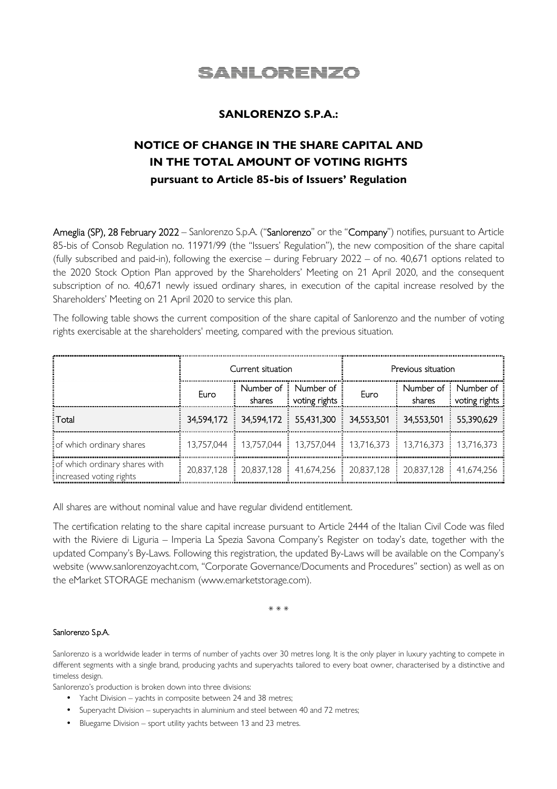

## **SANLORENZO S.P.A.:**

# **NOTICE OF CHANGE IN THE SHARE CAPITAL AND IN THE TOTAL AMOUNT OF VOTING RIGHTS pursuant to Article 85-bis of Issuers' Regulation**

Ameglia (SP), 28 February 2022 – Sanlorenzo S.p.A. ("Sanlorenzo" or the "Company") notifies, pursuant to Article 85-bis of Consob Regulation no. 11971/99 (the "Issuers' Regulation"), the new composition of the share capital (fully subscribed and paid-in), following the exercise – during February 2022 – of no. 40,671 options related to the 2020 Stock Option Plan approved by the Shareholders' Meeting on 21 April 2020, and the consequent subscription of no. 40,671 newly issued ordinary shares, in execution of the capital increase resolved by the Shareholders' Meeting on 21 April 2020 to service this plan.

The following table shows the current composition of the share capital of Sanlorenzo and the number of voting rights exercisable at the shareholders' meeting, compared with the previous situation.

|                                                          | Current situation |                     |                                                                                                                                         | Previous situation |                       |                                        |
|----------------------------------------------------------|-------------------|---------------------|-----------------------------------------------------------------------------------------------------------------------------------------|--------------------|-----------------------|----------------------------------------|
|                                                          | Euro              | Number of<br>shares | : Number of<br>voting rights                                                                                                            | Euro               | shares                | Number of : Number of<br>voting rights |
| : Total                                                  |                   |                     | 34,594,172 34,594,172 55,431,300 34,553,501                                                                                             |                    | 34,553,501 55,390,629 |                                        |
| of which ordinary shares                                 |                   |                     | 13,757,044   13,757,044   13,757,044   13,716,373   13,716,373   13,716,373                                                             |                    |                       |                                        |
| of which ordinary shares with<br>increased voting rights |                   |                     | 20,837,128 $\frac{1}{2}$ 20,837,128 $\frac{1}{2}$ 41,674,256 $\frac{1}{2}$ 20,837,128 $\frac{1}{2}$ 20,837,128 $\frac{1}{2}$ 41,674,256 |                    |                       |                                        |

All shares are without nominal value and have regular dividend entitlement.

The certification relating to the share capital increase pursuant to Article 2444 of the Italian Civil Code was filed with the Riviere di Liguria – Imperia La Spezia Savona Company's Register on today's date, together with the updated Company's By-Laws. Following this registration, the updated By-Laws will be available on the Company's website (www.sanlorenzoyacht.com, "Corporate Governance/Documents and Procedures" section) as well as on the eMarket STORAGE mechanism (www.emarketstorage.com).

\* \* \*

### Sanlorenzo S.p.A.

Sanlorenzo is a worldwide leader in terms of number of yachts over 30 metres long. It is the only player in luxury yachting to compete in different segments with a single brand, producing yachts and superyachts tailored to every boat owner, characterised by a distinctive and timeless design.

Sanlorenzo's production is broken down into three divisions:

- Yacht Division yachts in composite between 24 and 38 metres;
- Superyacht Division superyachts in aluminium and steel between 40 and 72 metres;
- Bluegame Division sport utility yachts between 13 and 23 metres.